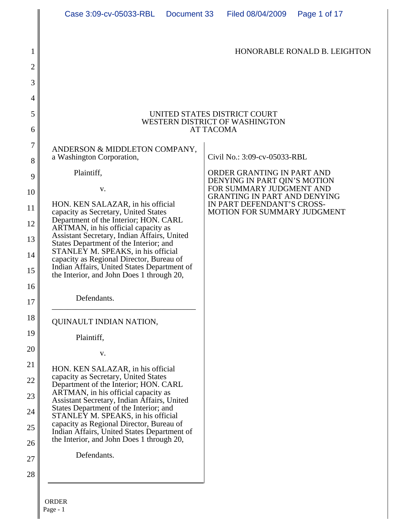| 1              |                                                                                          | HONORABLE RONALD B. LEIGHTON                                    |  |  |  |
|----------------|------------------------------------------------------------------------------------------|-----------------------------------------------------------------|--|--|--|
| $\overline{2}$ |                                                                                          |                                                                 |  |  |  |
| 3              |                                                                                          |                                                                 |  |  |  |
| 4              |                                                                                          |                                                                 |  |  |  |
| 5              | UNITED STATES DISTRICT COURT                                                             |                                                                 |  |  |  |
| 6              | WESTERN DISTRICT OF WASHINGTON<br><b>AT TACOMA</b>                                       |                                                                 |  |  |  |
| 7              | ANDERSON & MIDDLETON COMPANY,                                                            |                                                                 |  |  |  |
| 8              | a Washington Corporation,                                                                | Civil No.: 3:09-cv-05033-RBL                                    |  |  |  |
| 9              | Plaintiff,                                                                               | ORDER GRANTING IN PART AND<br>DENYING IN PART QIN'S MOTION      |  |  |  |
| 10             | v.                                                                                       | FOR SUMMARY JUDGMENT AND<br><b>GRANTING IN PART AND DENYING</b> |  |  |  |
| 11             | HON. KEN SALAZAR, in his official<br>capacity as Secretary, United States                | IN PART DEFENDANT'S CROSS-<br>MOTION FOR SUMMARY JUDGMENT       |  |  |  |
| 12             | Department of the Interior; HON. CARL<br>ARTMAN, in his official capacity as             |                                                                 |  |  |  |
| 13             | Assistant Secretary, Indian Affairs, United<br>States Department of the Interior; and    |                                                                 |  |  |  |
| 14             | STANLEY M. SPEAKS, in his official<br>capacity as Regional Director, Bureau of           |                                                                 |  |  |  |
| 15             | Indian Affairs, United States Department of<br>the Interior, and John Does 1 through 20, |                                                                 |  |  |  |
| 16             |                                                                                          |                                                                 |  |  |  |
| 17             | Defendants.                                                                              |                                                                 |  |  |  |
| 18             | QUINAULT INDIAN NATION,                                                                  |                                                                 |  |  |  |
| 19             | Plaintiff,                                                                               |                                                                 |  |  |  |
| 20             | v.                                                                                       |                                                                 |  |  |  |
| 21             | HON. KEN SALAZAR, in his official                                                        |                                                                 |  |  |  |
| 22             | capacity as Secretary, United States<br>Department of the Interior; HON. CARL            |                                                                 |  |  |  |
| 23             | ARTMAN, in his official capacity as<br>Assistant Secretary, Indian Affairs, United       |                                                                 |  |  |  |
| 24             | States Department of the Interior; and<br>STANLEY M. SPEAKS, in his official             |                                                                 |  |  |  |
| 25             | capacity as Regional Director, Bureau of<br>Indian Affairs, United States Department of  |                                                                 |  |  |  |
| 26             | the Interior, and John Does 1 through 20,                                                |                                                                 |  |  |  |
| 27             | Defendants.                                                                              |                                                                 |  |  |  |
| 28             |                                                                                          |                                                                 |  |  |  |

#### ORDER Page - 1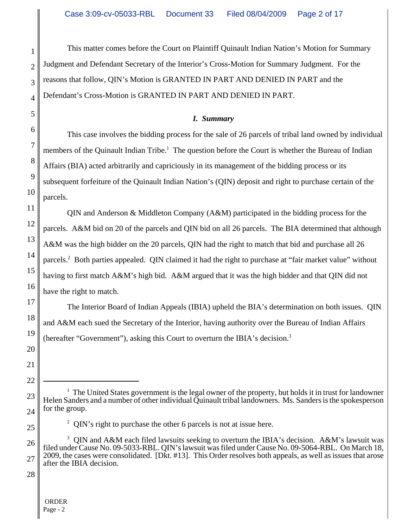This matter comes before the Court on Plaintiff Quinault Indian Nation's Motion for Summary Judgment and Defendant Secretary of the Interior's Cross-Motion for Summary Judgment. For the reasons that follow, QIN's Motion is GRANTED IN PART AND DENIED IN PART and the Defendant's Cross-Motion is GRANTED IN PART AND DENIED IN PART.

#### *I. Summary*

This case involves the bidding process for the sale of 26 parcels of tribal land owned by individual members of the Quinault Indian Tribe.<sup>1</sup> The question before the Court is whether the Bureau of Indian Affairs (BIA) acted arbitrarily and capriciously in its management of the bidding process or its subsequent forfeiture of the Quinault Indian Nation's (QIN) deposit and right to purchase certain of the parcels.

 $\overline{Q}$ IN and Anderson & Middleton Company (A&M) participated in the bidding process for the parcels. A&M bid on 20 of the parcels and QIN bid on all 26 parcels. The BIA determined that although A&M was the high bidder on the 20 parcels, QIN had the right to match that bid and purchase all 26 parcels.<sup>2</sup> Both parties appealed. QIN claimed it had the right to purchase at "fair market value" without having to first match A&M's high bid. A&M argued that it was the high bidder and that QIN did not have the right to match.

The Interior Board of Indian Appeals (IBIA) upheld the BIA's determination on both issues. QIN and A&M each sued the Secretary of the Interior, having authority over the Bureau of Indian Affairs (hereafter "Government"), asking this Court to overturn the IBIA's decision.<sup>3</sup>

- <sup>1</sup> The United States government is the legal owner of the property, but holds it in trust for landowner Helen Sanders and a number of other individual Quinault tribal landowners. Ms. Sanders is the spokesperson for the group.
	- $2$  QIN's right to purchase the other 6 parcels is not at issue here.

<sup>&</sup>lt;sup>3</sup> QIN and A&M each filed lawsuits seeking to overturn the IBIA's decision. A&M's lawsuit was filed under Cause No. 09-5033-RBL. QIN's lawsuit was filed under Cause No. 09-5064-RBL. On March 18, 2009, the cases were consolidated. [Dkt. #13]. This Order resolves both appeals, as well as issues that arose after the IBIA decision.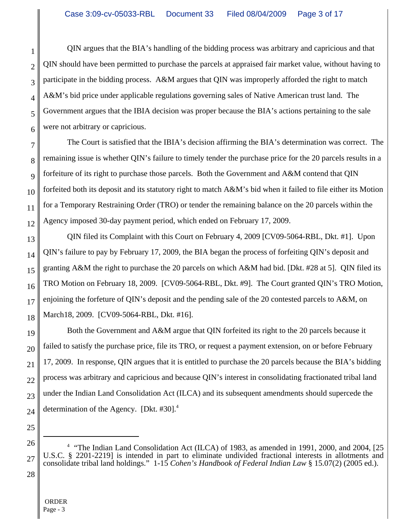QIN argues that the BIA's handling of the bidding process was arbitrary and capricious and that QIN should have been permitted to purchase the parcels at appraised fair market value, without having to participate in the bidding process. A&M argues that QIN was improperly afforded the right to match A&M's bid price under applicable regulations governing sales of Native American trust land. The Government argues that the IBIA decision was proper because the BIA's actions pertaining to the sale were not arbitrary or capricious.

The Court is satisfied that the IBIA's decision affirming the BIA's determination was correct. The remaining issue is whether QIN's failure to timely tender the purchase price for the 20 parcels results in a forfeiture of its right to purchase those parcels. Both the Government and A&M contend that QIN forfeited both its deposit and its statutory right to match A&M's bid when it failed to file either its Motion for a Temporary Restraining Order (TRO) or tender the remaining balance on the 20 parcels within the Agency imposed 30-day payment period, which ended on February 17, 2009.

13 14 15 16 17 18 QIN filed its Complaint with this Court on February 4, 2009 [CV09-5064-RBL, Dkt. #1]. Upon QIN's failure to pay by February 17, 2009, the BIA began the process of forfeiting QIN's deposit and granting A&M the right to purchase the 20 parcels on which A&M had bid. [Dkt. #28 at 5]. QIN filed its TRO Motion on February 18, 2009. [CV09-5064-RBL, Dkt. #9]. The Court granted QIN's TRO Motion, enjoining the forfeture of QIN's deposit and the pending sale of the 20 contested parcels to A&M, on March18, 2009. [CV09-5064-RBL, Dkt. #16].

19 20 21 22 23 24 Both the Government and A&M argue that QIN forfeited its right to the 20 parcels because it failed to satisfy the purchase price, file its TRO, or request a payment extension, on or before February 17, 2009. In response, QIN argues that it is entitled to purchase the 20 parcels because the BIA's bidding process was arbitrary and capricious and because QIN's interest in consolidating fractionated tribal land under the Indian Land Consolidation Act (ILCA) and its subsequent amendments should supercede the determination of the Agency. [Dkt. #30].<sup>4</sup>

25

1

2

3

4

5

6

7

8

9

10

11

12

26

27

<sup>&</sup>lt;sup>4</sup> "The Indian Land Consolidation Act (ILCA) of 1983, as amended in 1991, 2000, and 2004, [25 U.S.C. § 2201-2219] is intended in part to eliminate undivided fractional interests in allotments and consolidate tribal land holdings." 1-15 *Cohen's Handbook of Federal Indian Law* § 15.07(2) (2005 ed.).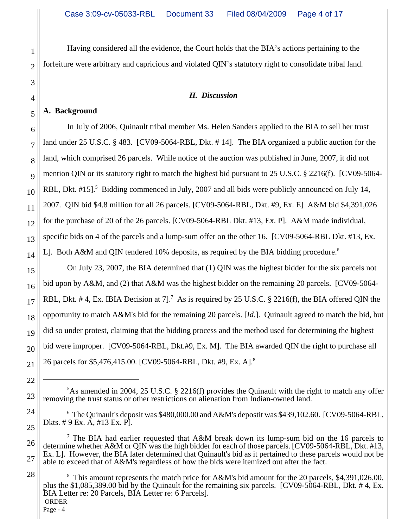Having considered all the evidence, the Court holds that the BIA's actions pertaining to the forfeiture were arbitrary and capricious and violated QIN's statutory right to consolidate tribal land.

#### *II. Discussion*

#### **A. Background**

In July of 2006, Quinault tribal member Ms. Helen Sanders applied to the BIA to sell her trust land under 25 U.S.C. § 483. [CV09-5064-RBL, Dkt. # 14]. The BIA organized a public auction for the land, which comprised 26 parcels. While notice of the auction was published in June, 2007, it did not mention QIN or its statutory right to match the highest bid pursuant to 25 U.S.C. § 2216(f). [CV09-5064- RBL, Dkt. #15].<sup>5</sup> Bidding commenced in July, 2007 and all bids were publicly announced on July 14, 2007. QIN bid \$4.8 million for all 26 parcels. [CV09-5064-RBL, Dkt. #9, Ex. E] A&M bid \$4,391,026 for the purchase of 20 of the 26 parcels. [CV09-5064-RBL Dkt. #13, Ex. P]. A&M made individual, specific bids on 4 of the parcels and a lump-sum offer on the other 16. [CV09-5064-RBL Dkt. #13, Ex. L]. Both A&M and QIN tendered 10% deposits, as required by the BIA bidding procedure.<sup>6</sup>

On July 23, 2007, the BIA determined that (1) QIN was the highest bidder for the six parcels not bid upon by A&M, and (2) that A&M was the highest bidder on the remaining 20 parcels. [CV09-5064- RBL, Dkt.  $#4$ , Ex. IBIA Decision at 7].<sup>7</sup> As is required by 25 U.S.C. § 2216(f), the BIA offered QIN the opportunity to match A&M's bid for the remaining 20 parcels. [*Id*.]. Quinault agreed to match the bid, but did so under protest, claiming that the bidding process and the method used for determining the highest bid were improper. [CV09-5064-RBL, Dkt.#9, Ex. M]. The BIA awarded QIN the right to purchase all 26 parcels for \$5,476,415.00. [CV09-5064-RBL, Dkt. #9, Ex. A].<sup>8</sup>

<sup>&</sup>lt;sup>5</sup>As amended in 2004, 25 U.S.C. § 2216(f) provides the Quinault with the right to match any offer removing the trust status or other restrictions on alienation from Indian-owned land.

<sup>&</sup>lt;sup>6</sup> The Quinault's deposit was \$480,000.00 and A&M's depostit was \$439,102.60. [CV09-5064-RBL, Dkts. # 9 Ex. A, #13 Ex. P].

<sup>&</sup>lt;sup>7</sup> The BIA had earlier requested that A&M break down its lump-sum bid on the 16 parcels to determine whether A&M or QIN was the high bidder for each of those parcels. [CV09-5064-RBL, Dkt. #13, Ex. L]. However, the BIA later determined that Quinault's bid as it pertained to these parcels would not be able to exceed that of A&M's regardless of how the bids were itemized out after the fact.

<sup>&</sup>lt;sup>8</sup> This amount represents the match price for A&M's bid amount for the 20 parcels, \$4,391,026.00, plus the \$1,085,389.00 bid by the Quinault for the remaining six parcels. [CV09-5064-RBL, Dkt. # 4, Ex. BIA Letter re: 20 Parcels, BIA Letter re: 6 Parcels]. ORDER

Page - 4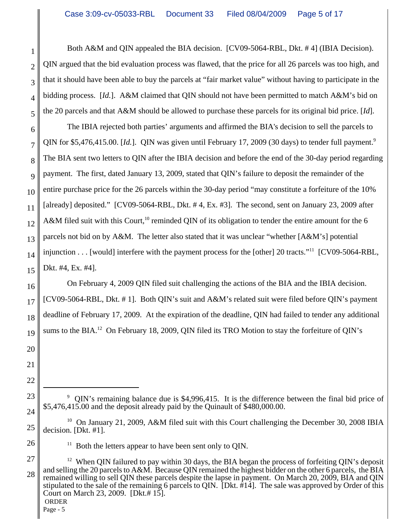Both A&M and QIN appealed the BIA decision. [CV09-5064-RBL, Dkt. # 4] (IBIA Decision). QIN argued that the bid evaluation process was flawed, that the price for all 26 parcels was too high, and that it should have been able to buy the parcels at "fair market value" without having to participate in the bidding process. [*Id.*]. A&M claimed that QIN should not have been permitted to match A&M's bid on the 20 parcels and that A&M should be allowed to purchase these parcels for its original bid price. [*Id*].

6 7 8 9 10 11 12 13 14 15 The IBIA rejected both parties' arguments and affirmed the BIA's decision to sell the parcels to QIN for \$5,476,415.00. *[Id.*]. QIN was given until February 17, 2009 (30 days) to tender full payment.<sup>9</sup> The BIA sent two letters to QIN after the IBIA decision and before the end of the 30-day period regarding payment. The first, dated January 13, 2009, stated that QIN's failure to deposit the remainder of the entire purchase price for the 26 parcels within the 30-day period "may constitute a forfeiture of the 10% [already] deposited."[CV09-5064-RBL, Dkt. # 4, Ex. #3]. The second, sent on January 23, 2009 after A&M filed suit with this Court,<sup>10</sup> reminded OIN of its obligation to tender the entire amount for the 6 parcels not bid on by A&M. The letter also stated that it was unclear "whether [A&M's] potential injunction . . . [would] interfere with the payment process for the [other] 20 tracts."11 [CV09-5064-RBL, Dkt. #4, Ex. #4].

16 17 18 19 On February 4, 2009 QIN filed suit challenging the actions of the BIA and the IBIA decision. [CV09-5064-RBL, Dkt. # 1]. Both QIN's suit and A&M's related suit were filed before QIN's payment deadline of February 17, 2009. At the expiration of the deadline, QIN had failed to tender any additional sums to the BIA.<sup>12</sup> On February 18, 2009, QIN filed its TRO Motion to stay the forfeiture of QIN's

21 22

23

24

26

20

1

2

3

4

5

 $11$  Both the letters appear to have been sent only to QIN.

<sup>&</sup>lt;sup>9</sup> QIN's remaining balance due is \$4,996,415. It is the difference between the final bid price of \$5,476,415.00 and the deposit already paid by the Quinault of \$480,000.00.

<sup>25</sup> <sup>10</sup> On January 21, 2009, A&M filed suit with this Court challenging the December 30, 2008 IBIA decision. [Dkt. #1].

<sup>27</sup> 28 <sup>12</sup> When QIN failured to pay within 30 days, the BIA began the process of forfeiting QIN's deposit and selling the 20 parcels to A&M. Because QIN remained the highest bidder on the other 6 parcels, the BIA remained willing to sell QIN these parcels despite the lapse in payment. On March 20, 2009, BIA and QIN stipulated to the sale of the remaining 6 parcels to QIN. [Dkt.  $\frac{1}{2}[14]$ . The sale was approved by Order of this Court on March 23, 2009. [Dkt.# 15]. ORDER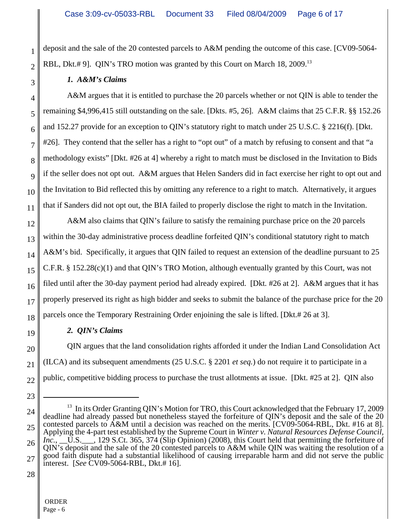deposit and the sale of the 20 contested parcels to A&M pending the outcome of this case. [CV09-5064- RBL, Dkt.#9. QIN's TRO motion was granted by this Court on March 18, 2009.<sup>13</sup>

## *1. A&M's Claims*

1

2

3

4

5

6

7

8

9

10

11

19

23

A&M argues that it is entitled to purchase the 20 parcels whether or not QIN is able to tender the remaining \$4,996,415 still outstanding on the sale. [Dkts. #5, 26]. A&M claims that 25 C.F.R. §§ 152.26 and 152.27 provide for an exception to QIN's statutory right to match under 25 U.S.C. § 2216(f). [Dkt. #26]. They contend that the seller has a right to "opt out" of a match by refusing to consent and that "a methodology exists" [Dkt. #26 at 4] whereby a right to match must be disclosed in the Invitation to Bids if the seller does not opt out. A&M argues that Helen Sanders did in fact exercise her right to opt out and the Invitation to Bid reflected this by omitting any reference to a right to match. Alternatively, it argues that if Sanders did not opt out, the BIA failed to properly disclose the right to match in the Invitation.

12 13 14 15 16 17 18 A&M also claims that QIN's failure to satisfy the remaining purchase price on the 20 parcels within the 30-day administrative process deadline forfeited QIN's conditional statutory right to match A&M's bid. Specifically, it argues that QIN failed to request an extension of the deadline pursuant to 25 C.F.R. §  $152.28(c)(1)$  and that QIN's TRO Motion, although eventually granted by this Court, was not filed until after the 30-day payment period had already expired. [Dkt*.* #26 at 2]. A&M argues that it has properly preserved its right as high bidder and seeks to submit the balance of the purchase price for the 20 parcels once the Temporary Restraining Order enjoining the sale is lifted. [Dkt.# 26 at 3].

# *2. QIN's Claims*

20 21 22 QIN argues that the land consolidation rights afforded it under the Indian Land Consolidation Act (ILCA) and its subsequent amendments (25 U.S.C. § 2201 *et seq.*) do not require it to participate in a public, competitive bidding process to purchase the trust allotments at issue. [Dkt. #25 at 2]. QIN also

<sup>24</sup> 25 26 27 <sup>13</sup> In its Order Granting OIN's Motion for TRO, this Court acknowledged that the February 17, 2009 deadline had already passed but nonetheless stayed the forfeiture of QIN's deposit and the sale of the 20 contested parcels to A&M until a decision was reached on the merits. [CV09-5064-RBL, Dkt. #16 at 8]. Applying the 4-part test established by the Supreme Court in *Winter v. Natural Resources Defense Council, Inc.*, \_\_U.S.\_\_\_, 129 S.Ct. 365, 374 (Slip Opinion) (2008), this Court held that permitting the forfeiture of QIN's deposit and the sale of the 20 contested parcels to A&M while QIN was waiting the resolution of a good faith dispute had a substantial likelihood of causing irreparable harm and did not serve the public interest. [*See* CV09-5064-RBL, Dkt.# 16].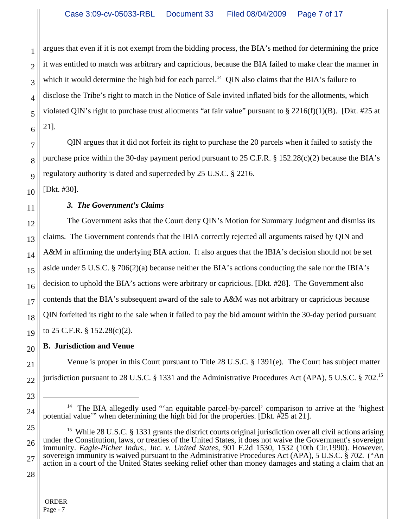2 4 6 argues that even if it is not exempt from the bidding process, the BIA's method for determining the price it was entitled to match was arbitrary and capricious, because the BIA failed to make clear the manner in which it would determine the high bid for each parcel.<sup>14</sup> QIN also claims that the BIA's failure to disclose the Tribe's right to match in the Notice of Sale invited inflated bids for the allotments, which violated QIN's right to purchase trust allotments "at fair value" pursuant to  $\S 2216(f)(1)(B)$ . [Dkt. #25 at 21].

7 8 9 QIN argues that it did not forfeit its right to purchase the 20 parcels when it failed to satisfy the purchase price within the 30-day payment period pursuant to 25 C.F.R. § 152.28(c)(2) because the BIA's regulatory authority is dated and superceded by 25 U.S.C. § 2216.

10 [Dkt. #30].

1

3

5

11

# *3. The Government's Claims*

12 13 14 15 16 17 18 19 The Government asks that the Court deny QIN's Motion for Summary Judgment and dismiss its claims. The Government contends that the IBIA correctly rejected all arguments raised by QIN and A&M in affirming the underlying BIA action. It also argues that the IBIA's decision should not be set aside under 5 U.S.C. § 706(2)(a) because neither the BIA's actions conducting the sale nor the IBIA's decision to uphold the BIA's actions were arbitrary or capricious. [Dkt. #28]. The Government also contends that the BIA's subsequent award of the sale to A&M was not arbitrary or capricious because QIN forfeited its right to the sale when it failed to pay the bid amount within the 30-day period pursuant to 25 C.F.R. § 152.28(c)(2).

20 **B. Jurisdiction and Venue**

21 22 Venue is proper in this Court pursuant to Title 28 U.S.C. § 1391(e). The Court has subject matter jurisdiction pursuant to 28 U.S.C. § 1331 and the Administrative Procedures Act (APA), 5 U.S.C. § 702.15

28

23

<sup>&</sup>lt;sup>14</sup> The BIA allegedly used "'an equitable parcel-by-parcel' comparison to arrive at the 'highest potential value'" when determining the high bid for the properties. [Dkt. #25 at 21].

<sup>25</sup> 26 27 <sup>15</sup> While 28 U.S.C. § 1331 grants the district courts original jurisdiction over all civil actions arising under the Constitution, laws, or treaties of the United States, it does not waive the Government's sovereign immunity. *Eagle-Picher Indus., Inc. v. United States*, 901 F.2d 1530, 1532 (10th Cir.1990). However, sovereign immunity is waived pursuant to the Administrative Procedures Act (APA), 5 U.S.C. § 702. ("An action in a court of the United States seeking relief other than money damages and stating a claim that an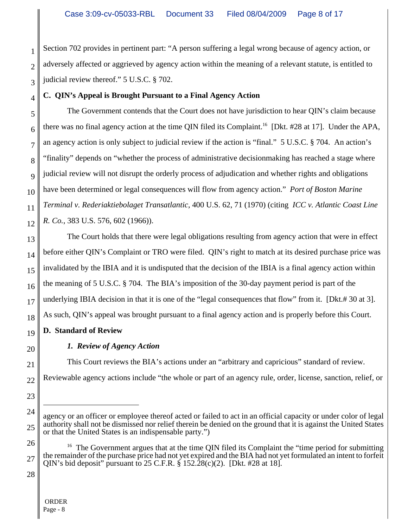Section 702 provides in pertinent part: "A person suffering a legal wrong because of agency action, or adversely affected or aggrieved by agency action within the meaning of a relevant statute, is entitled to judicial review thereof." 5 U.S.C. § 702.

# **C. QIN's Appeal is Brought Pursuant to a Final Agency Action**

5 6 7 8 9 10 11 12 The Government contends that the Court does not have jurisdiction to hear QIN's claim because there was no final agency action at the time QIN filed its Complaint.<sup>16</sup> [Dkt. #28 at 17]. Under the APA, an agency action is only subject to judicial review if the action is "final." 5 U.S.C. § 704. An action's "finality" depends on "whether the process of administrative decisionmaking has reached a stage where judicial review will not disrupt the orderly process of adjudication and whether rights and obligations have been determined or legal consequences will flow from agency action." *Port of Boston Marine Terminal v. Rederiaktiebolaget Transatlantic*, 400 U.S. 62, 71 (1970) (citing *ICC v. Atlantic Coast Line R. Co.*, 383 U.S. 576, 602 (1966)).

13 14 15 16 17 18 The Court holds that there were legal obligations resulting from agency action that were in effect before either QIN's Complaint or TRO were filed. QIN's right to match at its desired purchase price was invalidated by the IBIA and it is undisputed that the decision of the IBIA is a final agency action within the meaning of 5 U.S.C. § 704. The BIA's imposition of the 30-day payment period is part of the underlying IBIA decision in that it is one of the "legal consequences that flow" from it. [Dkt.# 30 at 3]. As such, QIN's appeal was brought pursuant to a final agency action and is properly before this Court.

#### 19 **D. Standard of Review**

# *1. Review of Agency Action*

This Court reviews the BIA's actions under an "arbitrary and capricious" standard of review. Reviewable agency actions include "the whole or part of an agency rule, order, license, sanction, relief, or

28

20

21

22

23

1

2

3

<sup>24</sup> 25 agency or an officer or employee thereof acted or failed to act in an official capacity or under color of legal authority shall not be dismissed nor relief therein be denied on the ground that it is against the United States or that the United States is an indispensable party.")

<sup>26</sup> 27 <sup>16</sup> The Government argues that at the time QIN filed its Complaint the "time period for submitting the remainder of the purchase price had not yet expired and the BIA had not yet formulated an intent to forfeit QIN's bid deposit" pursuant to 25 C.F.R.  $\S$  152.28(c)(2). [Dkt. #28 at 18].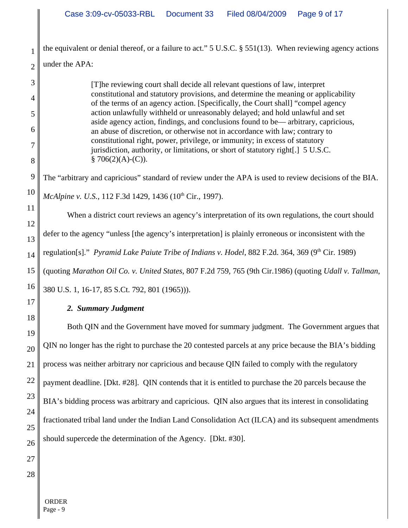the equivalent or denial thereof, or a failure to act." 5 U.S.C. § 551(13). When reviewing agency actions under the APA:

> [T]he reviewing court shall decide all relevant questions of law, interpret constitutional and statutory provisions, and determine the meaning or applicability of the terms of an agency action. [Specifically, the Court shall] "compel agency action unlawfully withheld or unreasonably delayed; and hold unlawful and set aside agency action, findings, and conclusions found to be— arbitrary, capricious, an abuse of discretion, or otherwise not in accordance with law; contrary to constitutional right, power, privilege, or immunity; in excess of statutory jurisdiction, authority, or limitations, or short of statutory right[.] 5 U.S.C.  $§ 706(2)(A)-(C)).$

9 10 The "arbitrary and capricious" standard of review under the APA is used to review decisions of the BIA. *McAlpine v. U.S.*, 112 F.3d 1429, 1436 (10<sup>th</sup> Cir., 1997).

11 12 13 14 15 16 When a district court reviews an agency's interpretation of its own regulations, the court should defer to the agency "unless [the agency's interpretation] is plainly erroneous or inconsistent with the regulation<sup>[s]</sup>." *Pyramid Lake Paiute Tribe of Indians v. Hodel*, 882 F.2d. 364, 369 (9<sup>th</sup> Cir. 1989) (quoting *Marathon Oil Co. v. United States*, 807 F.2d 759, 765 (9th Cir.1986) (quoting *Udall v. Tallman*, 380 U.S. 1, 16-17, 85 S.Ct. 792, 801 (1965))).

# 17

18

1

2

3

4

5

6

7

8

# *2. Summary Judgment*

19 20 21 22 23 24 25 26 Both QIN and the Government have moved for summary judgment. The Government argues that QIN no longer has the right to purchase the 20 contested parcels at any price because the BIA's bidding process was neither arbitrary nor capricious and because QIN failed to comply with the regulatory payment deadline. [Dkt. #28]. QIN contends that it is entitled to purchase the 20 parcels because the BIA's bidding process was arbitrary and capricious. QIN also argues that its interest in consolidating fractionated tribal land under the Indian Land Consolidation Act (ILCA) and its subsequent amendments should supercede the determination of the Agency. [Dkt. #30].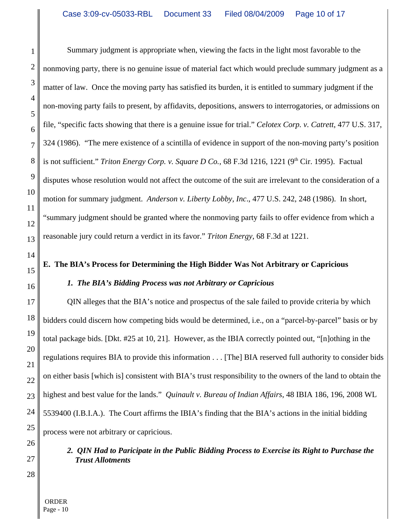Summary judgment is appropriate when, viewing the facts in the light most favorable to the nonmoving party, there is no genuine issue of material fact which would preclude summary judgment as a matter of law. Once the moving party has satisfied its burden, it is entitled to summary judgment if the non-moving party fails to present, by affidavits, depositions, answers to interrogatories, or admissions on file, "specific facts showing that there is a genuine issue for trial." *Celotex Corp. v. Catrett*, 477 U.S. 317, 324 (1986). "The mere existence of a scintilla of evidence in support of the non-moving party's position is not sufficient." *Triton Energy Corp. v. Square D Co.*, 68 F.3d 1216, 1221 (9<sup>th</sup> Cir. 1995). Factual disputes whose resolution would not affect the outcome of the suit are irrelevant to the consideration of a motion for summary judgment. *Anderson v. Liberty Lobby, Inc*., 477 U.S. 242, 248 (1986). In short, "summary judgment should be granted where the nonmoving party fails to offer evidence from which a reasonable jury could return a verdict in its favor." *Triton Energy*, 68 F.3d at 1221.

# **E. The BIA's Process for Determining the High Bidder Was Not Arbitrary or Capricious**

# *1. The BIA's Bidding Process was not Arbitrary or Capricious*

17 18 19 20 21 22 23 24 25 QIN alleges that the BIA's notice and prospectus of the sale failed to provide criteria by which bidders could discern how competing bids would be determined, i.e., on a "parcel-by-parcel" basis or by total package bids. [Dkt. #25 at 10, 21]. However, as the IBIA correctly pointed out, "[n]othing in the regulations requires BIA to provide this information . . . [The] BIA reserved full authority to consider bids on either basis [which is] consistent with BIA's trust responsibility to the owners of the land to obtain the highest and best value for the lands." *Quinault v. Bureau of Indian Affairs*, 48 IBIA 186, 196, 2008 WL 5539400 (I.B.I.A.). The Court affirms the IBIA's finding that the BIA's actions in the initial bidding process were not arbitrary or capricious.

26

1

2

3

4

5

6

7

8

9

10

11

12

13

14

15

16

27

*2. QIN Had to Paricipate in the Public Bidding Process to Exercise its Right to Purchase the Trust Allotments*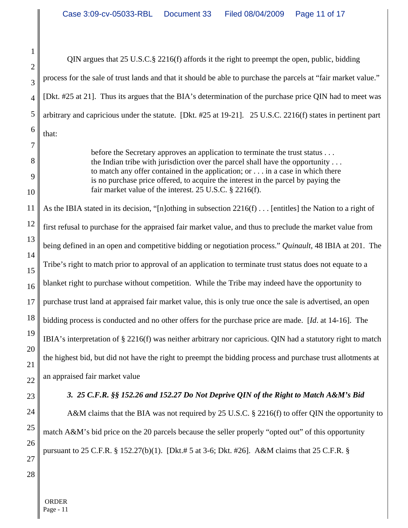| 1<br>$\overline{2}$ | QIN argues that 25 U.S.C.§ 2216(f) affords it the right to preempt the open, public, bidding                                                                                                                                                                                                                                                                                                                |  |  |  |  |
|---------------------|-------------------------------------------------------------------------------------------------------------------------------------------------------------------------------------------------------------------------------------------------------------------------------------------------------------------------------------------------------------------------------------------------------------|--|--|--|--|
| 3                   | process for the sale of trust lands and that it should be able to purchase the parcels at "fair market value."                                                                                                                                                                                                                                                                                              |  |  |  |  |
| 4                   | [Dkt. #25 at 21]. Thus its argues that the BIA's determination of the purchase price QIN had to meet was                                                                                                                                                                                                                                                                                                    |  |  |  |  |
| 5                   | arbitrary and capricious under the statute. [Dkt. #25 at 19-21]. 25 U.S.C. 2216(f) states in pertinent part                                                                                                                                                                                                                                                                                                 |  |  |  |  |
| 6                   | that:                                                                                                                                                                                                                                                                                                                                                                                                       |  |  |  |  |
| 7<br>8<br>9<br>10   | before the Secretary approves an application to terminate the trust status<br>the Indian tribe with jurisdiction over the parcel shall have the opportunity $\dots$<br>to match any offer contained in the application; or $\dots$ in a case in which there<br>is no purchase price offered, to acquire the interest in the parcel by paying the<br>fair market value of the interest. 25 U.S.C. § 2216(f). |  |  |  |  |
| 11                  | As the IBIA stated in its decision, "[n]othing in subsection $2216(f)$ [entitles] the Nation to a right of                                                                                                                                                                                                                                                                                                  |  |  |  |  |
| 12                  | first refusal to purchase for the appraised fair market value, and thus to preclude the market value from                                                                                                                                                                                                                                                                                                   |  |  |  |  |
| 13                  | being defined in an open and competitive bidding or negotiation process." Quinault, 48 IBIA at 201. The                                                                                                                                                                                                                                                                                                     |  |  |  |  |
| 14<br>15            | Tribe's right to match prior to approval of an application to terminate trust status does not equate to a                                                                                                                                                                                                                                                                                                   |  |  |  |  |
| 16                  | blanket right to purchase without competition. While the Tribe may indeed have the opportunity to                                                                                                                                                                                                                                                                                                           |  |  |  |  |
| 17                  | purchase trust land at appraised fair market value, this is only true once the sale is advertised, an open                                                                                                                                                                                                                                                                                                  |  |  |  |  |
| 18                  | bidding process is conducted and no other offers for the purchase price are made. [Id. at 14-16]. The                                                                                                                                                                                                                                                                                                       |  |  |  |  |
| 19                  | IBIA's interpretation of § 2216(f) was neither arbitrary nor capricious. QIN had a statutory right to match                                                                                                                                                                                                                                                                                                 |  |  |  |  |
| 20<br>21            | the highest bid, but did not have the right to preempt the bidding process and purchase trust allotments at                                                                                                                                                                                                                                                                                                 |  |  |  |  |
| 22                  | an appraised fair market value                                                                                                                                                                                                                                                                                                                                                                              |  |  |  |  |
| 23                  | 3. 25 C.F.R. §§ 152.26 and 152.27 Do Not Deprive QIN of the Right to Match A&M's Bid                                                                                                                                                                                                                                                                                                                        |  |  |  |  |

A&M claims that the BIA was not required by 25 U.S.C. § 2216(f) to offer QIN the opportunity to match A&M's bid price on the 20 parcels because the seller properly "opted out" of this opportunity pursuant to 25 C.F.R. § 152.27(b)(1). [Dkt.# 5 at 3-6; Dkt. #26]. A&M claims that 25 C.F.R. §

24

25

26

27

28

 ORDER Page - 11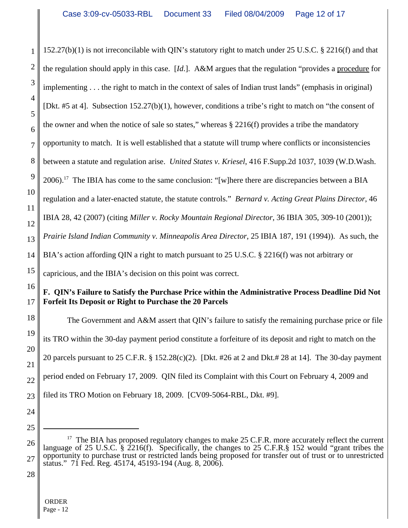1 2 3 4 5 6 7 8 9 10 11 12 13 14 15 16 152.27(b)(1) is not irreconcilable with QIN's statutory right to match under 25 U.S.C. § 2216(f) and that the regulation should apply in this case. [*Id*.]. A&M argues that the regulation "provides a procedure for implementing . . . the right to match in the context of sales of Indian trust lands" (emphasis in original) [Dkt. #5 at 4]. Subsection 152.27(b)(1), however, conditions a tribe's right to match on "the consent of the owner and when the notice of sale so states," whereas  $\S 2216(f)$  provides a tribe the mandatory opportunity to match. It is well established that a statute will trump where conflicts or inconsistencies between a statute and regulation arise. *United States v. Kriesel*, 416 F.Supp.2d 1037, 1039 (W.D.Wash. 2006).<sup>17</sup> The IBIA has come to the same conclusion: "[w]here there are discrepancies between a BIA regulation and a later-enacted statute, the statute controls." *Bernard v. Acting Great Plains Director*, 46 IBIA 28, 42 (2007) (citing *Miller v. Rocky Mountain Regional Director*, 36 IBIA 305, 309-10 (2001)); *Prairie Island Indian Community v. Minneapolis Area Director*, 25 IBIA 187, 191 (1994)). As such, the BIA's action affording QIN a right to match pursuant to 25 U.S.C. § 2216(f) was not arbitrary or capricious, and the IBIA's decision on this point was correct.

#### 17 **F. QIN's Failure to Satisfy the Purchase Price within the Administrative Process Deadline Did Not Forfeit Its Deposit or Right to Purchase the 20 Parcels**

18 19 20 21 22 23 The Government and A&M assert that QIN's failure to satisfy the remaining purchase price or file its TRO within the 30-day payment period constitute a forfeiture of its deposit and right to match on the 20 parcels pursuant to 25 C.F.R. § 152.28(c)(2). [Dkt. #26 at 2 and Dkt.# 28 at 14]. The 30-day payment period ended on February 17, 2009. QIN filed its Complaint with this Court on February 4, 2009 and filed its TRO Motion on February 18, 2009. [CV09-5064-RBL, Dkt. #9].

- 24
- 25

<sup>26</sup> 27  $17$  The BIA has proposed regulatory changes to make 25 C.F.R. more accurately reflect the current language of 25 U.S.C. § 2216(f). Specifically, the changes to 25 C.F.R.§ 152 would "grant tribes the opportunity to purchase trust or restricted lands being proposed for transfer out of trust or to unrestricted status." 71 Fed. Reg. 45174, 45193-194 (Aug. 8, 2006).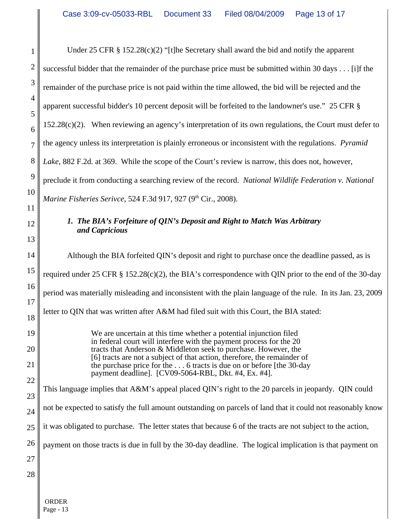| $\mathbf{1}$        | Under 25 CFR $\S 152.28(c)(2)$ "[t]he Secretary shall award the bid and notify the apparent                                                                                                                     |  |  |  |  |
|---------------------|-----------------------------------------------------------------------------------------------------------------------------------------------------------------------------------------------------------------|--|--|--|--|
| $\overline{c}$      | successful bidder that the remainder of the purchase price must be submitted within 30 days [i]f the                                                                                                            |  |  |  |  |
| 3                   | remainder of the purchase price is not paid within the time allowed, the bid will be rejected and the                                                                                                           |  |  |  |  |
| $\overline{4}$<br>5 | apparent successful bidder's 10 percent deposit will be forfeited to the landowner's use." 25 CFR §                                                                                                             |  |  |  |  |
| 6                   | $152.28(c)(2)$ . When reviewing an agency's interpretation of its own regulations, the Court must defer to                                                                                                      |  |  |  |  |
| $\overline{7}$      | the agency unless its interpretation is plainly erroneous or inconsistent with the regulations. Pyramid                                                                                                         |  |  |  |  |
| 8                   | Lake, 882 F.2d. at 369. While the scope of the Court's review is narrow, this does not, however,                                                                                                                |  |  |  |  |
| 9                   | preclude it from conducting a searching review of the record. National Wildlife Federation v. National                                                                                                          |  |  |  |  |
| 10                  | <i>Marine Fisheries Serivce, 524 F.3d 917, 927 (9th Cir., 2008).</i>                                                                                                                                            |  |  |  |  |
| 11<br>12            | 1. The BIA's Forfeiture of QIN's Deposit and Right to Match Was Arbitrary                                                                                                                                       |  |  |  |  |
| 13                  | and Capricious                                                                                                                                                                                                  |  |  |  |  |
| 14                  | Although the BIA forfeited QIN's deposit and right to purchase once the deadline passed, as is                                                                                                                  |  |  |  |  |
| 15                  | required under 25 CFR § 152.28(c)(2), the BIA's correspondence with QIN prior to the end of the 30-day                                                                                                          |  |  |  |  |
| 16                  | period was materially misleading and inconsistent with the plain language of the rule. In its Jan. 23, 2009                                                                                                     |  |  |  |  |
| 17<br>18            | letter to QIN that was written after A&M had filed suit with this Court, the BIA stated:                                                                                                                        |  |  |  |  |
| 19                  | We are uncertain at this time whether a potential injunction filed                                                                                                                                              |  |  |  |  |
| 20                  | in federal court will interfere with the payment process for the 20<br>tracts that Anderson & Middleton seek to purchase. However, the                                                                          |  |  |  |  |
| 21                  | [6] tracts are not a subject of that action, therefore, the remainder of<br>the purchase price for the $\dots$ 6 tracts is due on or before [the 30-day<br>payment deadline]. [CV09-5064-RBL, Dkt. #4, Ex. #4]. |  |  |  |  |
| 22                  | This language implies that A&M's appeal placed QIN's right to the 20 parcels in jeopardy. QIN could                                                                                                             |  |  |  |  |
| 23                  | not be expected to satisfy the full amount outstanding on parcels of land that it could not reasonably know                                                                                                     |  |  |  |  |
| 24<br>25            | it was obligated to purchase. The letter states that because 6 of the tracts are not subject to the action,                                                                                                     |  |  |  |  |
| 26                  | payment on those tracts is due in full by the 30-day deadline. The logical implication is that payment on                                                                                                       |  |  |  |  |
| 27                  |                                                                                                                                                                                                                 |  |  |  |  |
| 28                  |                                                                                                                                                                                                                 |  |  |  |  |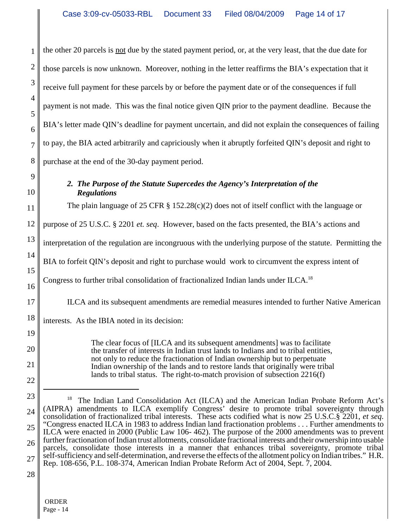2 3 4 5 6 8 the other 20 parcels is not due by the stated payment period, or, at the very least, that the due date for those parcels is now unknown. Moreover, nothing in the letter reaffirms the BIA's expectation that it receive full payment for these parcels by or before the payment date or of the consequences if full payment is not made. This was the final notice given QIN prior to the payment deadline. Because the BIA's letter made QIN's deadline for payment uncertain, and did not explain the consequences of failing to pay, the BIA acted arbitrarily and capriciously when it abruptly forfeited QIN's deposit and right to purchase at the end of the 30-day payment period.

1

7

9

10

19

20

21

22

# *2. The Purpose of the Statute Supercedes the Agency's Interpretation of the Regulations*

11 12 13 14 15 16 17 18 The plain language of 25 CFR § 152.28(c)(2) does not of itself conflict with the language or purpose of 25 U.S.C. § 2201 *et. seq*. However, based on the facts presented, the BIA's actions and interpretation of the regulation are incongruous with the underlying purpose of the statute. Permitting the BIA to forfeit QIN's deposit and right to purchase would work to circumvent the express intent of Congress to further tribal consolidation of fractionalized Indian lands under ILCA.<sup>18</sup> ILCA and its subsequent amendments are remedial measures intended to further Native American interests. As the IBIA noted in its decision:

> The clear focus of [ILCA and its subsequent amendments] was to facilitate the transfer of interests in Indian trust lands to Indians and to tribal entities, not only to reduce the fractionation of Indian ownership but to perpetuate Indian ownership of the lands and to restore lands that originally were tribal lands to tribal status. The right-to-match provision of subsection 2216(f)

<sup>23</sup> 24 25 26 27 18 The Indian Land Consolidation Act (ILCA) and the American Indian Probate Reform Act's (AIPRA) amendments to ILCA exemplify Congress<sup>'</sup> desire to promote tribal sovereignty through consolidation of fractionalized tribal interests. These acts codified what is now 25 U.S.C. § 2201, *et seq.* Congress enacted ILCA in 1983 to address Indian land fractionation problems . . . Further amendments to *"Congress"* ILCA were enacted in 2000 (Public Law 106- 462). The purpose of the 2000 amendments was to prevent further fractionation of Indian trust allotments, consolidate fractional interests and their ownership into usable parcels, consolidate those interests in a manner that enhances tribal sovereignty, promote tribal self-sufficiency and self-determination, and reverse the effects of the allotment policy on Indian tribes." H.R. Rep. 108-656, P.L. 108-374, American Indian Probate Reform Act of 2004, Sept. 7, 2004.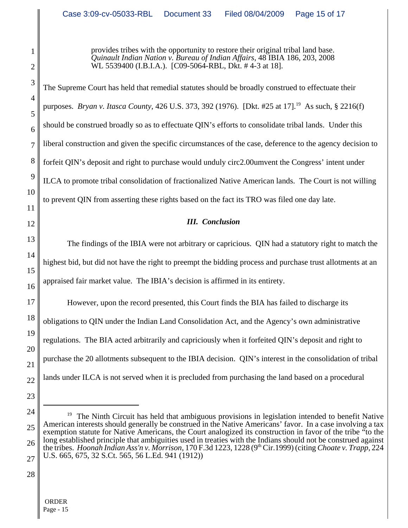provides tribes with the opportunity to restore their original tribal land base. *Quinault Indian Nation v. Bureau of Indian Affairs*, 48 IBIA 186, 203, 2008 WL 5539400 (I.B.I.A.). [C09-5064-RBL, Dkt. # 4-3 at 18].

The Supreme Court has held that remedial statutes should be broadly construed to effectuate their purposes. *Bryan v. Itasca County*, 426 U.S. 373, 392 (1976). [Dkt. #25 at 17].<sup>19</sup> As such, § 2216(f) should be construed broadly so as to effectuate QIN's efforts to consolidate tribal lands. Under this liberal construction and given the specific circumstances of the case, deference to the agency decision to forfeit QIN's deposit and right to purchase would unduly circ2.00umvent the Congress' intent under ILCA to promote tribal consolidation of fractionalized Native American lands. The Court is not willing to prevent QIN from asserting these rights based on the fact its TRO was filed one day late.

### *III. Conclusion*

The findings of the IBIA were not arbitrary or capricious. QIN had a statutory right to match the highest bid, but did not have the right to preempt the bidding process and purchase trust allotments at an appraised fair market value. The IBIA's decision is affirmed in its entirety.

17 18 19 20 21 22 However, upon the record presented, this Court finds the BIA has failed to discharge its obligations to QIN under the Indian Land Consolidation Act, and the Agency's own administrative regulations. The BIA acted arbitrarily and capriciously when it forfeited QIN's deposit and right to purchase the 20 allotments subsequent to the IBIA decision. QIN's interest in the consolidation of tribal lands under ILCA is not served when it is precluded from purchasing the land based on a procedural

24 25 26 27 <sup>19</sup> The Ninth Circuit has held that ambiguous provisions in legislation intended to benefit Native American interests should generally be construed in the Native Americans' favor. In a case involving a tax exemption statute for Native Americans, the Court analogized its construction in favor of the tribe "to the long established principle that ambiguities used in treaties with the Indians should not be construed against the tribes. *Hoonah Indian Ass'n v. Morrison*, 170 F.3d 1223, 1228 (9<sup>th</sup> Cir.1999) (citing *Choate v. Trapp*, 224 U.S. 665, 675, 32 S.Ct. 565, 56 L.Ed. 941 (1912))

28

23

1

2

3

4

5

6

7

8

9

10

11

12

13

14

15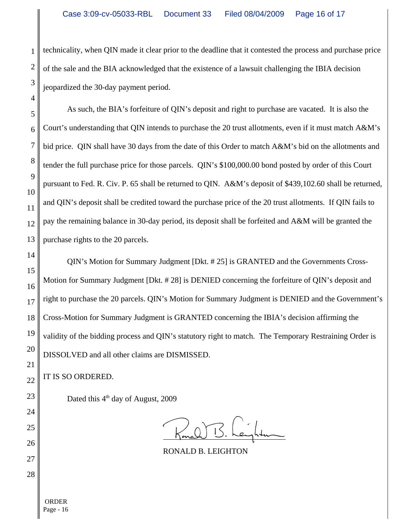technicality, when QIN made it clear prior to the deadline that it contested the process and purchase price of the sale and the BIA acknowledged that the existence of a lawsuit challenging the IBIA decision jeopardized the 30-day payment period.

As such, the BIA's forfeiture of QIN's deposit and right to purchase are vacated. It is also the Court's understanding that QIN intends to purchase the 20 trust allotments, even if it must match A&M's bid price. QIN shall have 30 days from the date of this Order to match A&M's bid on the allotments and tender the full purchase price for those parcels. QIN's \$100,000.00 bond posted by order of this Court pursuant to Fed. R. Civ. P. 65 shall be returned to QIN. A&M's deposit of \$439,102.60 shall be returned, and QIN's deposit shall be credited toward the purchase price of the 20 trust allotments. If QIN fails to pay the remaining balance in 30-day period, its deposit shall be forfeited and A&M will be granted the purchase rights to the 20 parcels.

QIN's Motion for Summary Judgment [Dkt. # 25] is GRANTED and the Governments Cross-Motion for Summary Judgment [Dkt. # 28] is DENIED concerning the forfeiture of QIN's deposit and right to purchase the 20 parcels. QIN's Motion for Summary Judgment is DENIED and the Government's Cross-Motion for Summary Judgment is GRANTED concerning the IBIA's decision affirming the validity of the bidding process and QIN's statutory right to match. The Temporary Restraining Order is DISSOLVED and all other claims are DISMISSED.

IT IS SO ORDERED.

Dated this  $4<sup>th</sup>$  day of August, 2009

Ronald B. Leightun

RONALD B. LEIGHTON